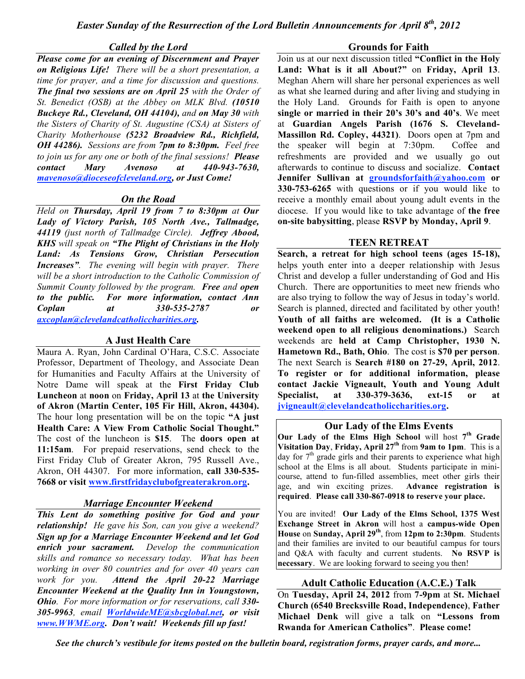## *Called by the Lord*

*Please come for an evening of Discernment and Prayer on Religious Life! There will be a short presentation, a time for prayer, and a time for discussion and questions. The final two sessions are on April 25 with the Order of St. Benedict (OSB) at the Abbey on MLK Blvd. (10510 Buckeye Rd., Cleveland, OH 44104), and on May 30 with the Sisters of Charity of St. Augustine (CSA) at Sisters of Charity Motherhouse (5232 Broadview Rd., Richfield, OH 44286). Sessions are from 7pm to 8:30pm. Feel free to join us for any one or both of the final sessions! Please contact Mary Avenoso at 440-943-7630, mavenoso@dioceseofcleveland.org, or Just Come!*

# *On the Road*

*Held on Thursday, April 19 from 7 to 8:30pm at Our Lady of Victory Parish, 105 North Ave., Tallmadge, 44119 (just north of Tallmadge Circle). Jeffrey Abood, KHS will speak on "The Plight of Christians in the Holy Land: As Tensions Grow, Christian Persecution Increases". The evening will begin with prayer. There will be a short introduction to the Catholic Commission of Summit County followed by the program. Free and open to the public. For more information, contact Ann Coplan at 330-535-2787 or axcoplan@clevelandcatholiccharities.org.*

# **A Just Health Care**

Maura A. Ryan, John Cardinal O'Hara, C.S.C. Associate Professor, Department of Theology, and Associate Dean for Humanities and Faculty Affairs at the University of Notre Dame will speak at the **First Friday Club Luncheon** at **noon** on **Friday, April 13** at **the University of Akron (Martin Center, 105 Fir Hill, Akron, 44304).** The hour long presentation will be on the topic **"A just Health Care: A View From Catholic Social Thought."** The cost of the luncheon is **\$15**. The **doors open at 11:15am**. For prepaid reservations, send check to the First Friday Club of Greater Akron, 795 Russell Ave., Akron, OH 44307. For more information, **call 330-535- 7668 or visit www.firstfridayclubofgreaterakron.org.**

# *Marriage Encounter Weekend*

*This Lent do something positive for God and your relationship! He gave his Son, can you give a weekend? Sign up for a Marriage Encounter Weekend and let God enrich your sacrament. Develop the communication skills and romance so necessary today. What has been working in over 80 countries and for over 40 years can work for you. Attend the April 20-22 Marriage Encounter Weekend at the Quality Inn in Youngstown, Ohio. For more information or for reservations, call 330- 305-9963, email WorldwideME@sbcglobal.net, or visit www.WWME.org. Don't wait! Weekends fill up fast!*

# **Grounds for Faith**

Join us at our next discussion titled **"Conflict in the Holy Land: What is it all About?"** on **Friday, April 13**. Meghan Ahern will share her personal experiences as well as what she learned during and after living and studying in the Holy Land. Grounds for Faith is open to anyone **single or married in their 20's 30's and 40's**. We meet at **Guardian Angels Parish (1676 S. Cleveland-Massillon Rd. Copley, 44321)**. Doors open at 7pm and the speaker will begin at 7:30pm. Coffee and refreshments are provided and we usually go out afterwards to continue to discuss and socialize. **Contact Jennifer Sullivan at groundsforfaith@yahoo.com or 330-753-6265** with questions or if you would like to receive a monthly email about young adult events in the diocese. If you would like to take advantage of **the free on-site babysitting**, please **RSVP by Monday, April 9**.

# **TEEN RETREAT**

**Search, a retreat for high school teens (ages 15-18),** helps youth enter into a deeper relationship with Jesus Christ and develop a fuller understanding of God and His Church. There are opportunities to meet new friends who are also trying to follow the way of Jesus in today's world. Search is planned, directed and facilitated by other youth! **Youth of all faiths are welcomed. (It is a Catholic weekend open to all religious denominations.)** Search weekends are **held at Camp Christopher, 1930 N. Hametown Rd., Bath, Ohio**. The cost is **\$70 per person**. The next Search is **Search #180 on 27-29, April, 2012**. **To register or for additional information, please contact Jackie Vigneault, Youth and Young Adult Specialist, at 330-379-3636, ext-15 or at jvigneault@clevelandcatholiccharities.org.**

# **Our Lady of the Elms Events**

**Our Lady of the Elms High School** will host **7th Grade Visitation Day**, **Friday, April 27th** from **9am to 1pm**. This is a day for  $7<sup>th</sup>$  grade girls and their parents to experience what high school at the Elms is all about. Students participate in minicourse, attend to fun-filled assemblies, meet other girls their age, and win exciting prizes. **Advance registration is required**. **Please call 330-867-0918 to reserve your place.**

You are invited! **Our Lady of the Elms School, 1375 West Exchange Street in Akron** will host a **campus-wide Open House** on **Sunday, April 29th**, from **12pm to 2:30pm**. Students and their families are invited to our beautiful campus for tours and Q&A with faculty and current students. **No RSVP is necessary**. We are looking forward to seeing you then!

# **Adult Catholic Education (A.C.E.) Talk**

On **Tuesday, April 24, 2012** from **7-9pm** at **St. Michael Church (6540 Brecksville Road, Independence)**, **Father Michael Denk** will give a talk on **"Lessons from Rwanda for American Catholics"**. **Please come!**

*See the church's vestibule for items posted on the bulletin board, registration forms, prayer cards, and more...*